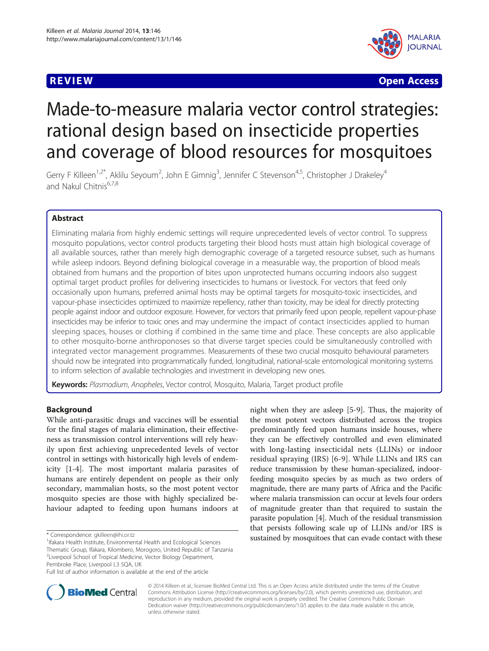

**REVIEW CONSTRUCTION CONSTRUCTION CONSTRUCTS** 

# Made-to-measure malaria vector control strategies: rational design based on insecticide properties and coverage of blood resources for mosquitoes

Gerry F Killeen<sup>1,2\*</sup>, Aklilu Seyoum<sup>2</sup>, John E Gimnig<sup>3</sup>, Jennifer C Stevenson<sup>4,5</sup>, Christopher J Drakeley<sup>4</sup> and Nakul Chitnis<sup>6,7,8</sup>

# Abstract

Eliminating malaria from highly endemic settings will require unprecedented levels of vector control. To suppress mosquito populations, vector control products targeting their blood hosts must attain high biological coverage of all available sources, rather than merely high demographic coverage of a targeted resource subset, such as humans while asleep indoors. Beyond defining biological coverage in a measurable way, the proportion of blood meals obtained from humans and the proportion of bites upon unprotected humans occurring indoors also suggest optimal target product profiles for delivering insecticides to humans or livestock. For vectors that feed only occasionally upon humans, preferred animal hosts may be optimal targets for mosquito-toxic insecticides, and vapour-phase insecticides optimized to maximize repellency, rather than toxicity, may be ideal for directly protecting people against indoor and outdoor exposure. However, for vectors that primarily feed upon people, repellent vapour-phase insecticides may be inferior to toxic ones and may undermine the impact of contact insecticides applied to human sleeping spaces, houses or clothing if combined in the same time and place. These concepts are also applicable to other mosquito-borne anthroponoses so that diverse target species could be simultaneously controlled with integrated vector management programmes. Measurements of these two crucial mosquito behavioural parameters should now be integrated into programmatically funded, longitudinal, national-scale entomological monitoring systems to inform selection of available technologies and investment in developing new ones.

Keywords: Plasmodium, Anopheles, Vector control, Mosquito, Malaria, Target product profile

# Background

While anti-parasitic drugs and vaccines will be essential for the final stages of malaria elimination, their effectiveness as transmission control interventions will rely heavily upon first achieving unprecedented levels of vector control in settings with historically high levels of endemicity [\[1](#page-7-0)-[4\]](#page-7-0). The most important malaria parasites of humans are entirely dependent on people as their only secondary, mammalian hosts, so the most potent vector mosquito species are those with highly specialized behaviour adapted to feeding upon humans indoors at

<sup>1</sup> Ifakara Health Institute, Environmental Health and Ecological Sciences Thematic Group, Ifakara, Kilombero, Morogoro, United Republic of Tanzania 2 Liverpool School of Tropical Medicine, Vector Biology Department,

Pembroke Place, Liverpool L3 5QA, UK

night when they are asleep [[5-9](#page-7-0)]. Thus, the majority of the most potent vectors distributed across the tropics predominantly feed upon humans inside houses, where they can be effectively controlled and even eliminated with long-lasting insecticidal nets (LLINs) or indoor residual spraying (IRS) [[6](#page-7-0)-[9\]](#page-7-0). While LLINs and IRS can reduce transmission by these human-specialized, indoorfeeding mosquito species by as much as two orders of magnitude, there are many parts of Africa and the Pacific where malaria transmission can occur at levels four orders of magnitude greater than that required to sustain the parasite population [[4\]](#page-7-0). Much of the residual transmission that persists following scale up of LLINs and/or IRS is \* Correspondence: [gkilleen@ihi.or.tz](mailto:gkilleen@ihi.or.tz) **bustained by mosquitoes that can evade contact with these** 



© 2014 Killeen et al.; licensee BioMed Central Ltd. This is an Open Access article distributed under the terms of the Creative Commons Attribution License [\(http://creativecommons.org/licenses/by/2.0\)](http://creativecommons.org/licenses/by/2.0), which permits unrestricted use, distribution, and reproduction in any medium, provided the original work is properly credited. The Creative Commons Public Domain Dedication waiver [\(http://creativecommons.org/publicdomain/zero/1.0/](http://creativecommons.org/publicdomain/zero/1.0/)) applies to the data made available in this article, unless otherwise stated.

Full list of author information is available at the end of the article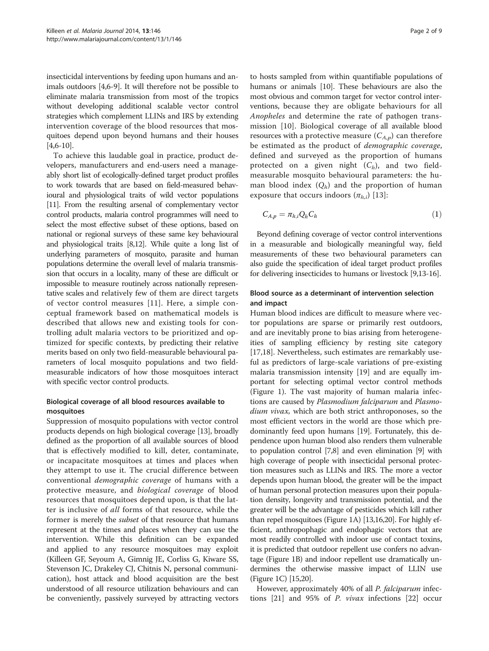insecticidal interventions by feeding upon humans and animals outdoors [\[4,6-9](#page-7-0)]. It will therefore not be possible to eliminate malaria transmission from most of the tropics without developing additional scalable vector control strategies which complement LLINs and IRS by extending intervention coverage of the blood resources that mosquitoes depend upon beyond humans and their houses [[4,6-10\]](#page-7-0).

To achieve this laudable goal in practice, product developers, manufacturers and end-users need a manageably short list of ecologically-defined target product profiles to work towards that are based on field-measured behavioural and physiological traits of wild vector populations [[11\]](#page-7-0). From the resulting arsenal of complementary vector control products, malaria control programmes will need to select the most effective subset of these options, based on national or regional surveys of these same key behavioural and physiological traits [\[8,12](#page-7-0)]. While quite a long list of underlying parameters of mosquito, parasite and human populations determine the overall level of malaria transmission that occurs in a locality, many of these are difficult or impossible to measure routinely across nationally representative scales and relatively few of them are direct targets of vector control measures [[11\]](#page-7-0). Here, a simple conceptual framework based on mathematical models is described that allows new and existing tools for controlling adult malaria vectors to be prioritized and optimized for specific contexts, by predicting their relative merits based on only two field-measurable behavioural parameters of local mosquito populations and two fieldmeasurable indicators of how those mosquitoes interact with specific vector control products.

# Biological coverage of all blood resources available to mosquitoes

Suppression of mosquito populations with vector control products depends on high biological coverage [[13](#page-7-0)], broadly defined as the proportion of all available sources of blood that is effectively modified to kill, deter, contaminate, or incapacitate mosquitoes at times and places when they attempt to use it. The crucial difference between conventional demographic coverage of humans with a protective measure, and biological coverage of blood resources that mosquitoes depend upon, is that the latter is inclusive of all forms of that resource, while the former is merely the *subset* of that resource that humans represent at the times and places when they can use the intervention. While this definition can be expanded and applied to any resource mosquitoes may exploit (Killeen GF, Seyoum A, Gimnig JE, Corliss G, Kiware SS, Stevenson JC, Drakeley CJ, Chitnis N, personal communication), host attack and blood acquisition are the best understood of all resource utilization behaviours and can be conveniently, passively surveyed by attracting vectors

to hosts sampled from within quantifiable populations of humans or animals [\[10\]](#page-7-0). These behaviours are also the most obvious and common target for vector control interventions, because they are obligate behaviours for all Anopheles and determine the rate of pathogen transmission [\[10](#page-7-0)]. Biological coverage of all available blood resources with a protective measure  $(C_{A,p})$  can therefore be estimated as the product of demographic coverage, defined and surveyed as the proportion of humans protected on a given night  $(C_h)$ , and two fieldmeasurable mosquito behavioural parameters: the human blood index  $(Q_h)$  and the proportion of human exposure that occurs indoors  $(\pi_{h,i})$  [\[13](#page-7-0)]:

$$
C_{A,p} = \pi_{h,i} Q_h C_h \tag{1}
$$

Beyond defining coverage of vector control interventions in a measurable and biologically meaningful way, field measurements of these two behavioural parameters can also guide the specification of ideal target product profiles for delivering insecticides to humans or livestock [\[9,13](#page-7-0)-[16](#page-7-0)].

# Blood source as a determinant of intervention selection and impact

Human blood indices are difficult to measure where vector populations are sparse or primarily rest outdoors, and are inevitably prone to bias arising from heterogeneities of sampling efficiency by resting site category [[17,18\]](#page-7-0). Nevertheless, such estimates are remarkably useful as predictors of large-scale variations of pre-existing malaria transmission intensity [[19\]](#page-7-0) and are equally important for selecting optimal vector control methods (Figure [1](#page-2-0)). The vast majority of human malaria infections are caused by Plasmodium falciparum and Plasmodium vivax, which are both strict anthroponoses, so the most efficient vectors in the world are those which predominantly feed upon humans [\[19\]](#page-7-0). Fortunately, this dependence upon human blood also renders them vulnerable to population control [[7,8](#page-7-0)] and even elimination [\[9](#page-7-0)] with high coverage of people with insecticidal personal protection measures such as LLINs and IRS. The more a vector depends upon human blood, the greater will be the impact of human personal protection measures upon their population density, longevity and transmission potential, and the greater will be the advantage of pesticides which kill rather than repel mosquitoes (Figure [1A](#page-2-0)) [\[13,16,20\]](#page-7-0). For highly efficient, anthropophagic and endophagic vectors that are most readily controlled with indoor use of contact toxins, it is predicted that outdoor repellent use confers no advantage (Figure [1B](#page-2-0)) and indoor repellent use dramatically undermines the otherwise massive impact of LLIN use (Figure [1](#page-2-0)C) [\[15,20](#page-7-0)].

However, approximately 40% of all P. falciparum infections [\[21](#page-7-0)] and 95% of P. vivax infections [\[22\]](#page-7-0) occur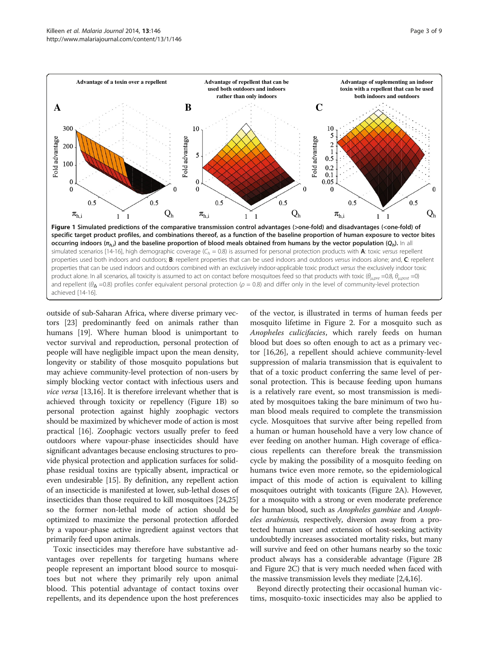achieved [\[14](#page-7-0)-[16\]](#page-7-0).

<span id="page-2-0"></span>

outside of sub-Saharan Africa, where diverse primary vectors [[23](#page-7-0)] predominantly feed on animals rather than humans [[19](#page-7-0)]. Where human blood is unimportant to vector survival and reproduction, personal protection of people will have negligible impact upon the mean density, longevity or stability of those mosquito populations but may achieve community-level protection of non-users by simply blocking vector contact with infectious users and vice versa [[13,16\]](#page-7-0). It is therefore irrelevant whether that is achieved through toxicity or repellency (Figure 1B) so personal protection against highly zoophagic vectors should be maximized by whichever mode of action is most practical [[16](#page-7-0)]. Zoophagic vectors usually prefer to feed outdoors where vapour-phase insecticides should have significant advantages because enclosing structures to provide physical protection and application surfaces for solidphase residual toxins are typically absent, impractical or even undesirable [\[15\]](#page-7-0). By definition, any repellent action of an insecticide is manifested at lower, sub-lethal doses of insecticides than those required to kill mosquitoes [\[24,25](#page-7-0)] so the former non-lethal mode of action should be optimized to maximize the personal protection afforded by a vapour-phase active ingredient against vectors that primarily feed upon animals.

Toxic insecticides may therefore have substantive advantages over repellents for targeting humans where people represent an important blood source to mosquitoes but not where they primarily rely upon animal blood. This potential advantage of contact toxins over repellents, and its dependence upon the host preferences of the vector, is illustrated in terms of human feeds per mosquito lifetime in Figure [2](#page-3-0). For a mosquito such as Anopheles culicifacies, which rarely feeds on human blood but does so often enough to act as a primary vector [\[16,26\]](#page-7-0), a repellent should achieve community-level suppression of malaria transmission that is equivalent to that of a toxic product conferring the same level of personal protection. This is because feeding upon humans is a relatively rare event, so most transmission is mediated by mosquitoes taking the bare minimum of two human blood meals required to complete the transmission cycle. Mosquitoes that survive after being repelled from a human or human household have a very low chance of ever feeding on another human. High coverage of efficacious repellents can therefore break the transmission cycle by making the possibility of a mosquito feeding on humans twice even more remote, so the epidemiological impact of this mode of action is equivalent to killing mosquitoes outright with toxicants (Figure [2A](#page-3-0)). However, for a mosquito with a strong or even moderate preference for human blood, such as Anopheles gambiae and Anopheles arabiensis, respectively, diversion away from a protected human user and extension of host-seeking activity undoubtedly increases associated mortality risks, but many will survive and feed on other humans nearby so the toxic product always has a considerable advantage (Figure [2B](#page-3-0) and Figure [2](#page-3-0)C) that is very much needed when faced with the massive transmission levels they mediate [\[2,4,16](#page-7-0)].

Beyond directly protecting their occasional human victims, mosquito-toxic insecticides may also be applied to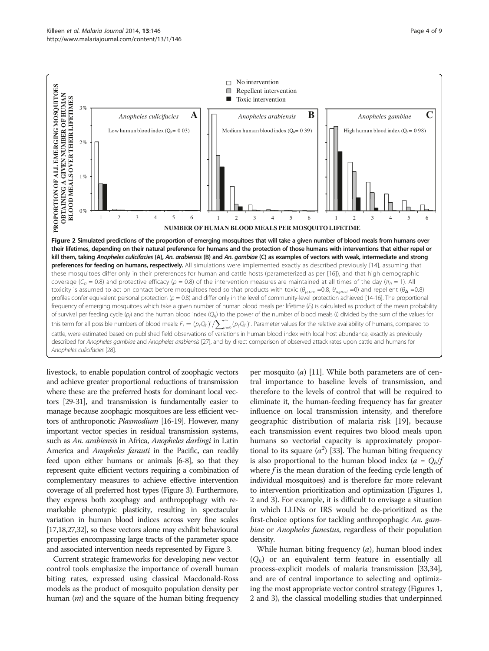<span id="page-3-0"></span>

livestock, to enable population control of zoophagic vectors and achieve greater proportional reductions of transmission where these are the preferred hosts for dominant local vectors [\[29](#page-7-0)[-31](#page-8-0)], and transmission is fundamentally easier to manage because zoophagic mosquitoes are less efficient vectors of anthroponotic Plasmodium [\[16-19](#page-7-0)]. However, many important vector species in residual transmission systems, such as An. arabiensis in Africa, Anopheles darlingi in Latin America and Anopheles farauti in the Pacific, can readily feed upon either humans or animals [\[6-8](#page-7-0)], so that they represent quite efficient vectors requiring a combination of complementary measures to achieve effective intervention coverage of all preferred host types (Figure [3](#page-4-0)). Furthermore, they express both zoophagy and anthropophagy with remarkable phenotypic plasticity, resulting in spectacular variation in human blood indices across very fine scales [[17,18,27](#page-7-0)[,32\]](#page-8-0), so these vectors alone may exhibit behavioural properties encompassing large tracts of the parameter space and associated intervention needs represented by Figure [3](#page-4-0).

Current strategic frameworks for developing new vector control tools emphasize the importance of overall human biting rates, expressed using classical Macdonald-Ross models as the product of mosquito population density per human  $(m)$  and the square of the human biting frequency

per mosquito  $(a)$  [[11](#page-7-0)]. While both parameters are of central importance to baseline levels of transmission, and therefore to the levels of control that will be required to eliminate it, the human-feeding frequency has far greater influence on local transmission intensity, and therefore geographic distribution of malaria risk [[19\]](#page-7-0), because each transmission event requires two blood meals upon humans so vectorial capacity is approximately proportional to its square  $(a^2)$  [[33](#page-8-0)]. The human biting frequency is also proportional to the human blood index ( $a = Q_h/f$ where  $f$  is the mean duration of the feeding cycle length of individual mosquitoes) and is therefore far more relevant to intervention prioritization and optimization (Figures [1](#page-2-0), 2 and [3](#page-4-0)). For example, it is difficult to envisage a situation in which LLINs or IRS would be de-prioritized as the first-choice options for tackling anthropophagic An. gambiae or Anopheles funestus, regardless of their population density.

While human biting frequency  $(a)$ , human blood index  $(Q_h)$  or an equivalent term feature in essentially all process-explicit models of malaria transmission [\[33,34](#page-8-0)], and are of central importance to selecting and optimizing the most appropriate vector control strategy (Figures [1](#page-2-0), 2 and [3](#page-4-0)), the classical modelling studies that underpinned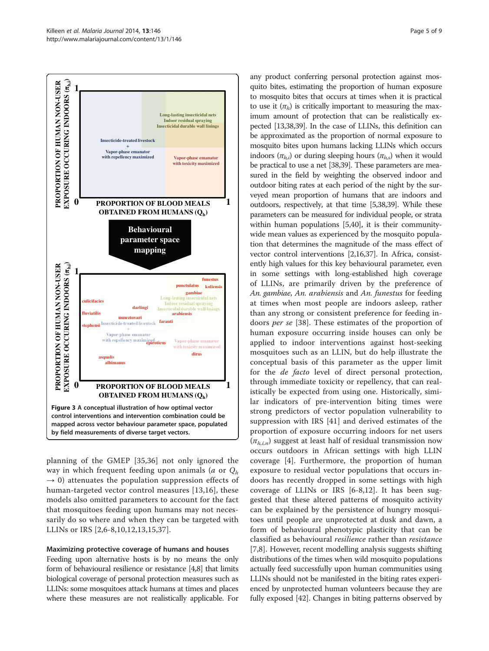<span id="page-4-0"></span>

planning of the GMEP [[35,36](#page-8-0)] not only ignored the way in which frequent feeding upon animals (*a* or  $Q_h$  $\rightarrow$  0) attenuates the population suppression effects of human-targeted vector control measures [\[13](#page-7-0),[16\]](#page-7-0), these models also omitted parameters to account for the fact that mosquitoes feeding upon humans may not necessarily do so where and when they can be targeted with LLINs or IRS [[2,6](#page-7-0)-[8,10,12,13,15](#page-7-0)[,37\]](#page-8-0).

## Maximizing protective coverage of humans and houses

Feeding upon alternative hosts is by no means the only form of behavioural resilience or resistance [[4,8](#page-7-0)] that limits biological coverage of personal protection measures such as LLINs: some mosquitoes attack humans at times and places where these measures are not realistically applicable. For any product conferring personal protection against mosquito bites, estimating the proportion of human exposure to mosquito bites that occurs at times when it is practical to use it  $(\pi_h)$  is critically important to measuring the maximum amount of protection that can be realistically expected [\[13](#page-7-0)[,38,39](#page-8-0)]. In the case of LLINs, this definition can be approximated as the proportion of normal exposure to mosquito bites upon humans lacking LLINs which occurs indoors  $(\pi_{h,i})$  or during sleeping hours  $(\pi_{h,s})$  when it would be practical to use a net [\[38,39](#page-8-0)]. These parameters are measured in the field by weighting the observed indoor and outdoor biting rates at each period of the night by the surveyed mean proportion of humans that are indoors and outdoors, respectively, at that time [\[5](#page-7-0)[,38,39\]](#page-8-0). While these parameters can be measured for individual people, or strata within human populations [[5](#page-7-0)[,40](#page-8-0)], it is their communitywide mean values as experienced by the mosquito population that determines the magnitude of the mass effect of vector control interventions [[2](#page-7-0),[16](#page-7-0)[,37\]](#page-8-0). In Africa, consistently high values for this key behavioural parameter, even in some settings with long-established high coverage of LLINs, are primarily driven by the preference of An. gambiae, An. arabiensis and An. funestus for feeding at times when most people are indoors asleep, rather than any strong or consistent preference for feeding indoors per se [\[38](#page-8-0)]. These estimates of the proportion of human exposure occurring inside houses can only be applied to indoor interventions against host-seeking mosquitoes such as an LLIN, but do help illustrate the conceptual basis of this parameter as the upper limit for the de facto level of direct personal protection, through immediate toxicity or repellency, that can realistically be expected from using one. Historically, similar indicators of pre-intervention biting times were strong predictors of vector population vulnerability to suppression with IRS [\[41](#page-8-0)] and derived estimates of the proportion of exposure occurring indoors for net users  $(\pi_{h,i,n})$  suggest at least half of residual transmission now occurs outdoors in African settings with high LLIN coverage [[4\]](#page-7-0). Furthermore, the proportion of human exposure to residual vector populations that occurs indoors has recently dropped in some settings with high coverage of LLINs or IRS [\[6](#page-7-0)-[8,12](#page-7-0)]. It has been suggested that these altered patterns of mosquito activity can be explained by the persistence of hungry mosquitoes until people are unprotected at dusk and dawn, a form of behavioural phenotypic plasticity that can be classified as behavioural resilience rather than resistance [[7,8](#page-7-0)]. However, recent modelling analysis suggests shifting distributions of the times when wild mosquito populations actually feed successfully upon human communities using LLINs should not be manifested in the biting rates experienced by unprotected human volunteers because they are fully exposed [\[42](#page-8-0)]. Changes in biting patterns observed by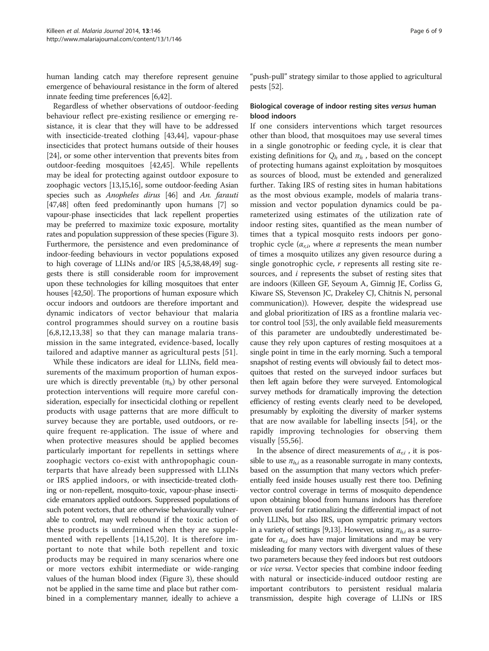human landing catch may therefore represent genuine emergence of behavioural resistance in the form of altered innate feeding time preferences [[6](#page-7-0),[42](#page-8-0)].

Regardless of whether observations of outdoor-feeding behaviour reflect pre-existing resilience or emerging resistance, it is clear that they will have to be addressed with insecticide-treated clothing [[43,44\]](#page-8-0), vapour-phase insecticides that protect humans outside of their houses [[24\]](#page-7-0), or some other intervention that prevents bites from outdoor-feeding mosquitoes [[42](#page-8-0),[45](#page-8-0)]. While repellents may be ideal for protecting against outdoor exposure to zoophagic vectors [\[13,15,16\]](#page-7-0), some outdoor-feeding Asian species such as Anopheles dirus [\[46\]](#page-8-0) and An. farauti [[47,48\]](#page-8-0) often feed predominantly upon humans [\[7\]](#page-7-0) so vapour-phase insecticides that lack repellent properties may be preferred to maximize toxic exposure, mortality rates and population suppression of these species (Figure [3](#page-4-0)). Furthermore, the persistence and even predominance of indoor-feeding behaviours in vector populations exposed to high coverage of LLINs and/or IRS [\[4,5](#page-7-0)[,38](#page-8-0),[48,49\]](#page-8-0) suggests there is still considerable room for improvement upon these technologies for killing mosquitoes that enter houses [\[42,50](#page-8-0)]. The proportions of human exposure which occur indoors and outdoors are therefore important and dynamic indicators of vector behaviour that malaria control programmes should survey on a routine basis [[6,8](#page-7-0),[12,13](#page-7-0),[38\]](#page-8-0) so that they can manage malaria transmission in the same integrated, evidence-based, locally tailored and adaptive manner as agricultural pests [[51](#page-8-0)].

While these indicators are ideal for LLINs, field measurements of the maximum proportion of human exposure which is directly preventable  $(\pi_h)$  by other personal protection interventions will require more careful consideration, especially for insecticidal clothing or repellent products with usage patterns that are more difficult to survey because they are portable, used outdoors, or require frequent re-application. The issue of where and when protective measures should be applied becomes particularly important for repellents in settings where zoophagic vectors co-exist with anthropophagic counterparts that have already been suppressed with LLINs or IRS applied indoors, or with insecticide-treated clothing or non-repellent, mosquito-toxic, vapour-phase insecticide emanators applied outdoors. Suppressed populations of such potent vectors, that are otherwise behaviourally vulnerable to control, may well rebound if the toxic action of these products is undermined when they are supplemented with repellents [\[14](#page-7-0),[15,20](#page-7-0)]. It is therefore important to note that while both repellent and toxic products may be required in many scenarios where one or more vectors exhibit intermediate or wide-ranging values of the human blood index (Figure [3](#page-4-0)), these should not be applied in the same time and place but rather combined in a complementary manner, ideally to achieve a

"push-pull" strategy similar to those applied to agricultural pests [\[52](#page-8-0)].

# Biological coverage of indoor resting sites versus human blood indoors

If one considers interventions which target resources other than blood, that mosquitoes may use several times in a single gonotrophic or feeding cycle, it is clear that existing definitions for  $Q_h$  and  $\pi_h$ , based on the concept of protecting humans against exploitation by mosquitoes as sources of blood, must be extended and generalized further. Taking IRS of resting sites in human habitations as the most obvious example, models of malaria transmission and vector population dynamics could be parameterized using estimates of the utilization rate of indoor resting sites, quantified as the mean number of times that a typical mosquito rests indoors per gonotrophic cycle ( $\alpha_{r,i}$ , where  $\alpha$  represents the mean number of times a mosquito utilizes any given resource during a single gonotrophic cycle, r represents all resting site resources, and *i* represents the subset of resting sites that are indoors (Killeen GF, Seyoum A, Gimnig JE, Corliss G, Kiware SS, Stevenson JC, Drakeley CJ, Chitnis N, personal communication)). However, despite the widespread use and global prioritization of IRS as a frontline malaria vector control tool [[53](#page-8-0)], the only available field measurements of this parameter are undoubtedly underestimated because they rely upon captures of resting mosquitoes at a single point in time in the early morning. Such a temporal snapshot of resting events will obviously fail to detect mosquitoes that rested on the surveyed indoor surfaces but then left again before they were surveyed. Entomological survey methods for dramatically improving the detection efficiency of resting events clearly need to be developed, presumably by exploiting the diversity of marker systems that are now available for labelling insects [\[54](#page-8-0)], or the rapidly improving technologies for observing them visually [[55,56\]](#page-8-0).

In the absence of direct measurements of  $\alpha_{r,i}$ , it is possible to use  $\pi_{h,i}$  as a reasonable surrogate in many contexts, based on the assumption that many vectors which preferentially feed inside houses usually rest there too. Defining vector control coverage in terms of mosquito dependence upon obtaining blood from humans indoors has therefore proven useful for rationalizing the differential impact of not only LLINs, but also IRS, upon sympatric primary vectors in a variety of settings [\[9,13\]](#page-7-0). However, using  $\pi_{h,i}$  as a surrogate for  $\alpha_{r,i}$  does have major limitations and may be very misleading for many vectors with divergent values of these two parameters because they feed indoors but rest outdoors or vice versa. Vector species that combine indoor feeding with natural or insecticide-induced outdoor resting are important contributors to persistent residual malaria transmission, despite high coverage of LLINs or IRS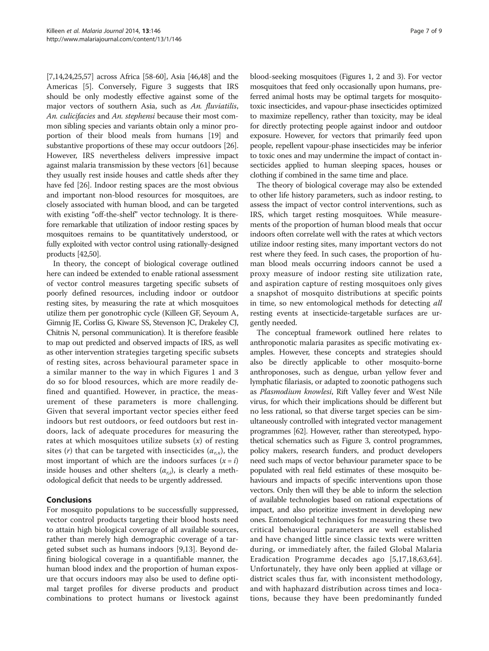[[7,14,24,25,](#page-7-0)[57](#page-8-0)] across Africa [[58](#page-8-0)-[60](#page-8-0)], Asia [[46,48](#page-8-0)] and the Americas [[5\]](#page-7-0). Conversely, Figure [3](#page-4-0) suggests that IRS should be only modestly effective against some of the major vectors of southern Asia, such as An. fluviatilis, An. culicifacies and An. stephensi because their most common sibling species and variants obtain only a minor proportion of their blood meals from humans [[19](#page-7-0)] and substantive proportions of these may occur outdoors [[26](#page-7-0)]. However, IRS nevertheless delivers impressive impact against malaria transmission by these vectors [[61](#page-8-0)] because they usually rest inside houses and cattle sheds after they have fed [[26](#page-7-0)]. Indoor resting spaces are the most obvious and important non-blood resources for mosquitoes, are closely associated with human blood, and can be targeted with existing "off-the-shelf" vector technology. It is therefore remarkable that utilization of indoor resting spaces by mosquitoes remains to be quantitatively understood, or fully exploited with vector control using rationally-designed products [\[42,50\]](#page-8-0).

In theory, the concept of biological coverage outlined here can indeed be extended to enable rational assessment of vector control measures targeting specific subsets of poorly defined resources, including indoor or outdoor resting sites, by measuring the rate at which mosquitoes utilize them per gonotrophic cycle (Killeen GF, Seyoum A, Gimnig JE, Corliss G, Kiware SS, Stevenson JC, Drakeley CJ, Chitnis N, personal communication). It is therefore feasible to map out predicted and observed impacts of IRS, as well as other intervention strategies targeting specific subsets of resting sites, across behavioural parameter space in a similar manner to the way in which Figures [1](#page-2-0) and [3](#page-4-0) do so for blood resources, which are more readily defined and quantified. However, in practice, the measurement of these parameters is more challenging. Given that several important vector species either feed indoors but rest outdoors, or feed outdoors but rest indoors, lack of adequate procedures for measuring the rates at which mosquitoes utilize subsets  $(x)$  of resting sites (*r*) that can be targeted with insecticides ( $\alpha_{r,x}$ ), the most important of which are the indoors surfaces  $(x = i)$ inside houses and other shelters  $(\alpha_{r,i})$ , is clearly a methodological deficit that needs to be urgently addressed.

# Conclusions

For mosquito populations to be successfully suppressed, vector control products targeting their blood hosts need to attain high biological coverage of all available sources, rather than merely high demographic coverage of a targeted subset such as humans indoors [\[9,13\]](#page-7-0). Beyond defining biological coverage in a quantifiable manner, the human blood index and the proportion of human exposure that occurs indoors may also be used to define optimal target profiles for diverse products and product combinations to protect humans or livestock against

blood-seeking mosquitoes (Figures [1,](#page-2-0) [2](#page-3-0) and [3\)](#page-4-0). For vector mosquitoes that feed only occasionally upon humans, preferred animal hosts may be optimal targets for mosquitotoxic insecticides, and vapour-phase insecticides optimized to maximize repellency, rather than toxicity, may be ideal for directly protecting people against indoor and outdoor exposure. However, for vectors that primarily feed upon people, repellent vapour-phase insecticides may be inferior to toxic ones and may undermine the impact of contact insecticides applied to human sleeping spaces, houses or clothing if combined in the same time and place.

The theory of biological coverage may also be extended to other life history parameters, such as indoor resting, to assess the impact of vector control interventions, such as IRS, which target resting mosquitoes. While measurements of the proportion of human blood meals that occur indoors often correlate well with the rates at which vectors utilize indoor resting sites, many important vectors do not rest where they feed. In such cases, the proportion of human blood meals occurring indoors cannot be used a proxy measure of indoor resting site utilization rate, and aspiration capture of resting mosquitoes only gives a snapshot of mosquito distributions at specific points in time, so new entomological methods for detecting all resting events at insecticide-targetable surfaces are urgently needed.

The conceptual framework outlined here relates to anthroponotic malaria parasites as specific motivating examples. However, these concepts and strategies should also be directly applicable to other mosquito-borne anthroponoses, such as dengue, urban yellow fever and lymphatic filariasis, or adapted to zoonotic pathogens such as Plasmodium knowlesi, Rift Valley fever and West Nile virus, for which their implications should be different but no less rational, so that diverse target species can be simultaneously controlled with integrated vector management programmes [\[62\]](#page-8-0). However, rather than stereotyped, hypothetical schematics such as Figure [3](#page-4-0), control programmes, policy makers, research funders, and product developers need such maps of vector behaviour parameter space to be populated with real field estimates of these mosquito behaviours and impacts of specific interventions upon those vectors. Only then will they be able to inform the selection of available technologies based on rational expectations of impact, and also prioritize investment in developing new ones. Entomological techniques for measuring these two critical behavioural parameters are well established and have changed little since classic texts were written during, or immediately after, the failed Global Malaria Eradication Programme decades ago [[5,17,18](#page-7-0)[,63,64](#page-8-0)]. Unfortunately, they have only been applied at village or district scales thus far, with inconsistent methodology, and with haphazard distribution across times and locations, because they have been predominantly funded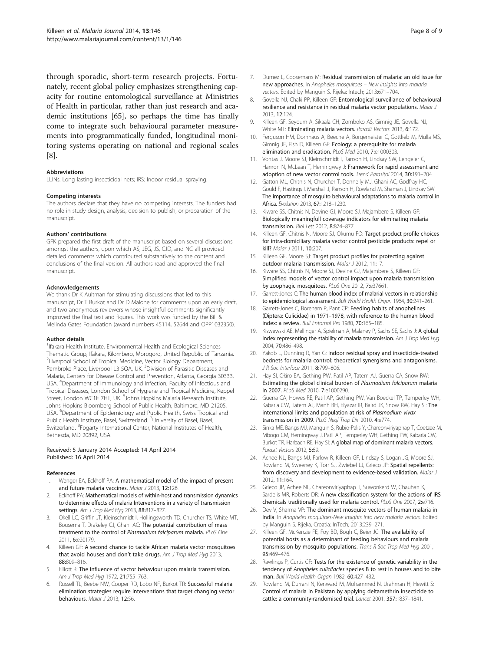<span id="page-7-0"></span>through sporadic, short-term research projects. Fortunately, recent global policy emphasizes strengthening capacity for routine entomological surveillance at Ministries of Health in particular, rather than just research and academic institutions [[65](#page-8-0)], so perhaps the time has finally come to integrate such behavioural parameter measurements into programmatically funded, longitudinal monitoring systems operating on national and regional scales [8].

#### Abbreviations

LLINs: Long lasting insecticidal nets; IRS: Indoor residual spraying.

#### Competing interests

The authors declare that they have no competing interests. The funders had no role in study design, analysis, decision to publish, or preparation of the manuscript.

#### Authors' contributions

GFK prepared the first draft of the manuscript based on several discussions amongst the authors, upon which AS, JEG, JS, CJD, and NC all provided detailed comments which contributed substantively to the content and conclusions of the final version. All authors read and approved the final manuscript.

#### Acknowledgements

We thank Dr K Aultman for stimulating discussions that led to this manuscript, Dr T Burkot and Dr D Malone for comments upon an early draft, and two anonymous reviewers whose insightful comments significantly improved the final text and figures. This work was funded by the Bill & Melinda Gates Foundation (award numbers 45114, 52644 and OPP1032350).

#### Author details

<sup>1</sup> Ifakara Health Institute, Environmental Health and Ecological Sciences Thematic Group, Ifakara, Kilombero, Morogoro, United Republic of Tanzania. 2 Liverpool School of Tropical Medicine, Vector Biology Department, Pembroke Place, Liverpool L3 5QA, UK. <sup>3</sup>Division of Parasitic Diseases and Malaria, Centers for Disease Control and Prevention, Atlanta, Georgia 30333, USA. <sup>4</sup> Department of Immunology and Infection, Faculty of Infectious and Tropical Diseases, London School of Hygiene and Tropical Medicine, Keppel Street, London WC1E 7HT, UK. <sup>5</sup>Johns Hopkins Malaria Research Institute, Johns Hopkins Bloomberg School of Public Health, Baltimore, MD 21205, USA. <sup>6</sup> Department of Epidemiology and Public Health, Swiss Tropical and Public Health Institute, Basel, Switzerland. <sup>7</sup>University of Basel, Basel, Switzerland. <sup>8</sup>Fogarty International Center, National Institutes of Health, Bethesda, MD 20892, USA.

### Received: 5 January 2014 Accepted: 14 April 2014 Published: 16 April 2014

#### References

- Wenger EA, Eckhoff PA: A mathematical model of the impact of present and future malaria vaccines. Malar J 2013, 12:126.
- 2. Eckhoff PA: Mathematical models of within-host and transmission dynamics to determine effects of malaria Interventions in a variety of transmission settings. Am J Trop Med Hyg 2013, 88:817–827.
- 3. Okell LC, Griffin JT, Kleinschmidt I, Hollingsworth TD, Churcher TS, White MT, Bousema T, Drakeley CJ, Ghani AC: The potential contribution of mass treatment to the control of Plasmodium falciparum malaria. PLoS One 2011, 6:e20179.
- 4. Killeen GF: A second chance to tackle African malaria vector mosquitoes that avoid houses and don't take drugs. Am J Trop Med Hyg 2013, 88:809–816.
- 5. Elliott R: The influence of vector behaviour upon malaria transmission. Am J Trop Med Hyg 1972, 21:755–763.
- 6. Russell TL, Beebe NW, Cooper RD, Lobo NF, Burkot TR: Successful malaria elimination strategies require interventions that target changing vector behaviours. Malar J 2013, 12:56.
- 7. Durnez L, Coosemans M: Residual transmission of malaria: an old issue for new approaches. In Anopheles mosquitoes – New insights into malaria vectors. Edited by Manguin S. Rijeka: Intech; 2013:671–704.
- Govella NJ, Chaki PP, Killeen GF: Entomological surveillance of behavioural resilience and resistance in residual malaria vector populations. Malar J 2013, 12:124.
- 9. Killeen GF, Seyoum A, Sikaala CH, Zomboko AS, Gimnig JE, Govella NJ, White MT: Eliminating malaria vectors. Parasit Vectors 2013, 6:172.
- 10. Ferguson HM, Dornhaus A, Beeche A, Borgemeister C, Gottlieb M, Mulla MS, Gimnig JE, Fish D, Killeen GF: Ecology: a prerequisite for malaria elimination and eradication. PLoS Med 2010, 7:e1000303.
- 11. Vontas J, Moore SJ, Kleinschmidt I, Ranson H, Lindsay SW, Lengeler C, Hamon N, McLean T, Hemingway J: Framework for rapid assessment and adoption of new vector control tools. Trend Parasitol 2014, 30:191–204.
- 12. Gatton ML, Chitnis N, Churcher T, Donnelly MJ, Ghani AC, Godfray HC, Gould F, Hastings I, Marshall J, Ranson H, Rowland M, Shaman J, Lindsay SW: The importance of mosquito behavioural adaptations to malaria control in Africa. Evolution 2013, 67:1218–1230.
- 13. Kiware SS, Chitnis N, Devine GJ, Moore SJ, Majambere S, Killeen GF: Biologically meaningfull coverage indicators for eliminating malaria transmission. Biol Lett 2012, 8:874–877.
- 14. Killeen GF, Chitnis N, Moore SJ, Okumu FO: Target product profile choices for intra-domiciliary malaria vector control pesticide products: repel or kill? Malar J 2011, 10:207.
- 15. Killeen GF, Moore SJ: Target product profiles for protecting against outdoor malaria transmission. Malar J 2012, 11:17
- 16. Kiware SS, Chitnis N, Moore SJ, Devine GJ, Majambere S, Killeen GF: Simplified models of vector control impact upon malaria transmission by zoophagic mosquitoes. PLoS One 2012, 7:e37661.
- 17. Garrett-Jones C: The human blood index of malarial vectors in relationship to epidemiological assessment. Bull World Health Organ 1964, 30:241-261.
- 18. Garrett-Jones C, Boreham P, Pant CP: Feeding habits of anophelines (Diptera: Culicidae) in 1971–1978, with reference to the human blood index: a review. Bull Entomol Res 1980, 70:165–185.
- 19. Kiswewski AE, Mellinger A, Spielman A, Malaney P, Sachs SE, Sachs J: A global index representing the stability of malaria transmission. Am J Trop Med Hyg 2004, 70:486–498.
- 20. Yakob L, Dunning R, Yan G: Indoor residual spray and insecticide-treated bednets for malaria control: theoretical synergisms and antagonisms. J R Soc Interface 2011, 8:799–806.
- 21. Hay SI, Okiro EA, Gething PW, Patil AP, Tatem AJ, Guerra CA, Snow RW: Estimating the global clinical burden of Plasmodium falciparum malaria in 2007. PLoS Med 2010, 7:e1000290.
- 22. Guerra CA, Howes RE, Patil AP, Gething PW, Van Boeckel TP, Temperley WH, Kabaria CW, Tatem AJ, Manh BH, Elyazar IR, Baird JK, Snow RW, Hay SI: The international limits and population at risk of Plasmodium vivax transmission in 2009. PLoS Negl Trop Dis 2010, 4:e774.
- 23. Sinka ME, Bangs MJ, Manguin S, Rubio-Palis Y, Chareonviriyaphap T, Coetzee M, Mbogo CM, Hemingway J, Patil AP, Temperley WH, Gething PW, Kabaria CW, Burkot TR, Harbach RE, Hay SI: A global map of dominant malaria vectors. Parasit Vectors 2012, 5:69.
- 24. Achee NL, Bangs MJ, Farlow R, Killeen GF, Lindsay S, Logan JG, Moore SJ, Rowland M, Sweeney K, Torr SJ, Zwiebel LJ, Grieco JP: Spatial repellents: from discovery and development to evidence-based validation. Malar J 2012, 11:164.
- 25. Grieco JP, Achee NL, Chareonviriyaphap T, Suwonkerd W, Chauhan K, Sardelis MR, Roberts DR: A new classification system for the actions of IRS chemicals traditionally used for malaria control. PLoS One 2007, 2:e716.
- 26. Dev V, Sharma VP: The dominant mosquito vectors of human malaria in India. In Anopheles moquitoes-New insights into new malaria vectors. Edited by Manguin S. Rijeka, Croatia: InTech; 2013:239–271.
- 27. Killeen GF, McKenzie FE, Foy BD, Bogh C, Beier JC: The availability of potential hosts as a determinant of feeding behaviours and malaria transmission by mosquito populations. Trans R Soc Trop Med Hyg 2001, 95:469–476.
- 28. Rawlings P, Curtis CF: Tests for the existence of genetic variability in the tendency of Anopheles culicifacies species B to rest in houses and to bite man. Bull World Health Organ 1982, 60:427–432.
- 29. Rowland M, Durrani N, Kenward M, Mohammed N, Urahman H, Hewitt S: Control of malaria in Pakistan by applying deltamethrin insecticide to cattle: a community-randomised trial. Lancet 2001, 357:1837–1841.